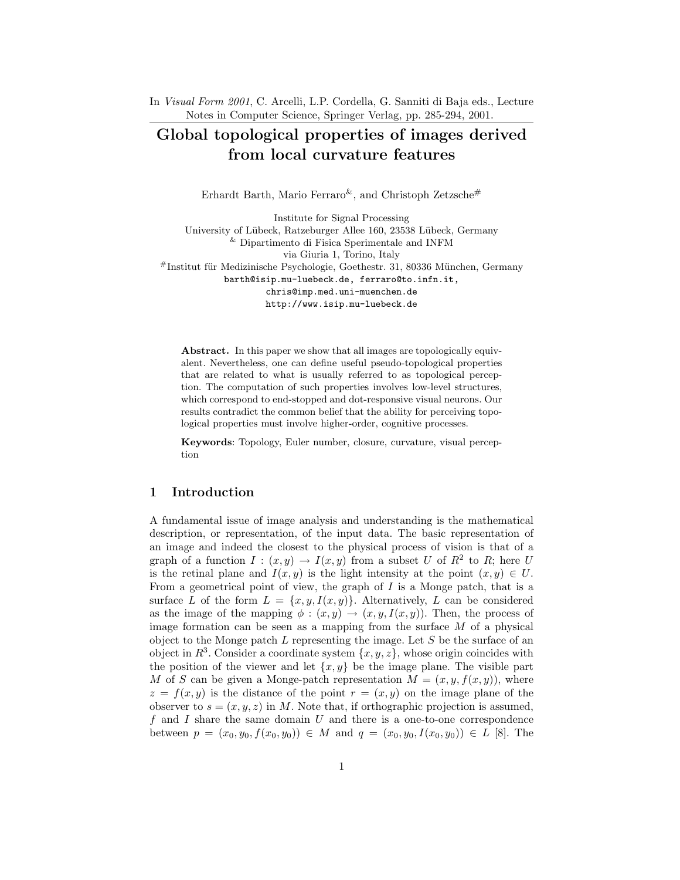In Visual Form 2001, C. Arcelli, L.P. Cordella, G. Sanniti di Baja eds., Lecture Notes in Computer Science, Springer Verlag, pp. 285-294, 2001.

# Global topological properties of images derived from local curvature features

Erhardt Barth, Mario Ferraro $^{\&}$ , and Christoph Zetzsche#

Institute for Signal Processing University of Lübeck, Ratzeburger Allee 160, 23538 Lübeck, Germany & Dipartimento di Fisica Sperimentale and INFM via Giuria 1, Torino, Italy  $*$ Institut für Medizinische Psychologie, Goethestr. 31, 80336 München, Germany barth@isip.mu-luebeck.de, ferraro@to.infn.it, chris@imp.med.uni-muenchen.de http://www.isip.mu-luebeck.de

Abstract. In this paper we show that all images are topologically equivalent. Nevertheless, one can define useful pseudo-topological properties that are related to what is usually referred to as topological perception. The computation of such properties involves low-level structures, which correspond to end-stopped and dot-responsive visual neurons. Our results contradict the common belief that the ability for perceiving topological properties must involve higher-order, cognitive processes.

Keywords: Topology, Euler number, closure, curvature, visual perception

# 1 Introduction

A fundamental issue of image analysis and understanding is the mathematical description, or representation, of the input data. The basic representation of an image and indeed the closest to the physical process of vision is that of a graph of a function  $I:(x,y) \to I(x,y)$  from a subset U of  $R^2$  to R; here U is the retinal plane and  $I(x, y)$  is the light intensity at the point  $(x, y) \in U$ . From a geometrical point of view, the graph of  $I$  is a Monge patch, that is a surface L of the form  $L = \{x, y, I(x, y)\}\$ . Alternatively, L can be considered as the image of the mapping  $\phi : (x, y) \rightarrow (x, y, I(x, y))$ . Then, the process of image formation can be seen as a mapping from the surface  $M$  of a physical object to the Monge patch  $L$  representing the image. Let  $S$  be the surface of an object in  $R^3$ . Consider a coordinate system  $\{x, y, z\}$ , whose origin coincides with the position of the viewer and let  $\{x, y\}$  be the image plane. The visible part M of S can be given a Monge-patch representation  $M = (x, y, f(x, y))$ , where  $z = f(x, y)$  is the distance of the point  $r = (x, y)$  on the image plane of the observer to  $s = (x, y, z)$  in M. Note that, if orthographic projection is assumed,  $f$  and  $I$  share the same domain  $U$  and there is a one-to-one correspondence between  $p = (x_0, y_0, f(x_0, y_0)) \in M$  and  $q = (x_0, y_0, I(x_0, y_0)) \in L$  [8]. The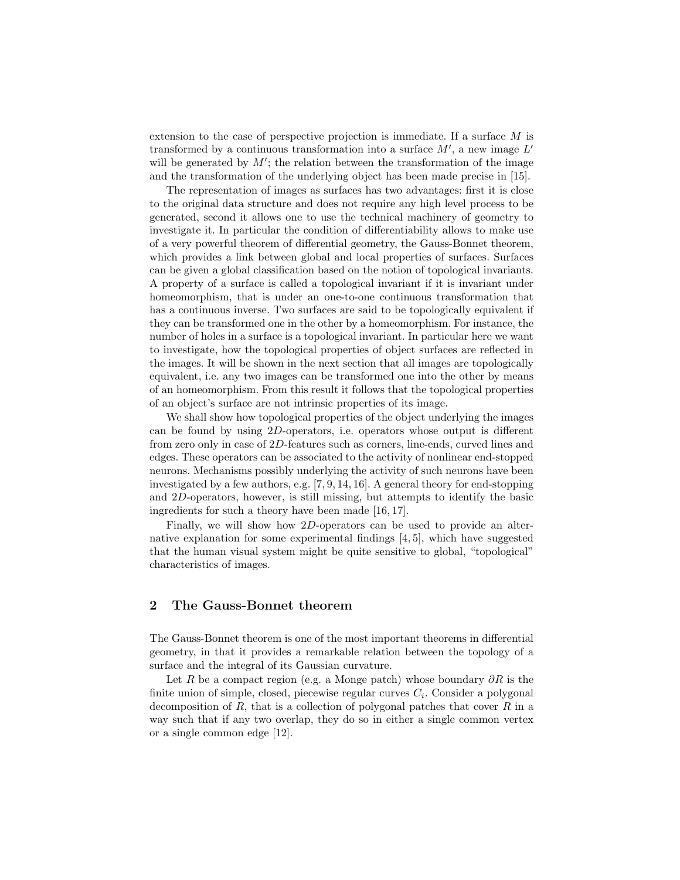extension to the case of perspective projection is immediate. If a surface M is transformed by a continuous transformation into a surface  $M'$ , a new image  $L'$ will be generated by  $M'$ ; the relation between the transformation of the image and the transformation of the underlying object has been made precise in [15].

The representation of images as surfaces has two advantages: first it is close to the original data structure and does not require any high level process to be generated, second it allows one to use the technical machinery of geometry to investigate it. In particular the condition of differentiability allows to make use of a very powerful theorem of differential geometry, the Gauss-Bonnet theorem, which provides a link between global and local properties of surfaces. Surfaces can be given a global classification based on the notion of topological invariants. A property of a surface is called a topological invariant if it is invariant under homeomorphism, that is under an one-to-one continuous transformation that has a continuous inverse. Two surfaces are said to be topologically equivalent if they can be transformed one in the other by a homeomorphism. For instance, the number of holes in a surface is a topological invariant. In particular here we want to investigate, how the topological properties of object surfaces are reflected in the images. It will be shown in the next section that all images are topologically equivalent, i.e. any two images can be transformed one into the other by means of an homeomorphism. From this result it follows that the topological properties of an object's surface are not intrinsic properties of its image.

We shall show how topological properties of the object underlying the images can be found by using 2D-operators, i.e. operators whose output is different from zero only in case of 2D-features such as corners, line-ends, curved lines and edges. These operators can be associated to the activity of nonlinear end-stopped neurons. Mechanisms possibly underlying the activity of such neurons have been investigated by a few authors, e.g. [7, 9, 14, 16]. A general theory for end-stopping and 2D-operators, however, is still missing, but attempts to identify the basic ingredients for such a theory have been made [16, 17].

Finally, we will show how 2D-operators can be used to provide an alternative explanation for some experimental findings [4, 5], which have suggested that the human visual system might be quite sensitive to global, "topological" characteristics of images.

# 2 The Gauss-Bonnet theorem

The Gauss-Bonnet theorem is one of the most important theorems in differential geometry, in that it provides a remarkable relation between the topology of a surface and the integral of its Gaussian curvature.

Let R be a compact region (e.g. a Monge patch) whose boundary  $\partial R$  is the finite union of simple, closed, piecewise regular curves  $C_i$ . Consider a polygonal decomposition of R, that is a collection of polygonal patches that cover R in a way such that if any two overlap, they do so in either a single common vertex or a single common edge [12].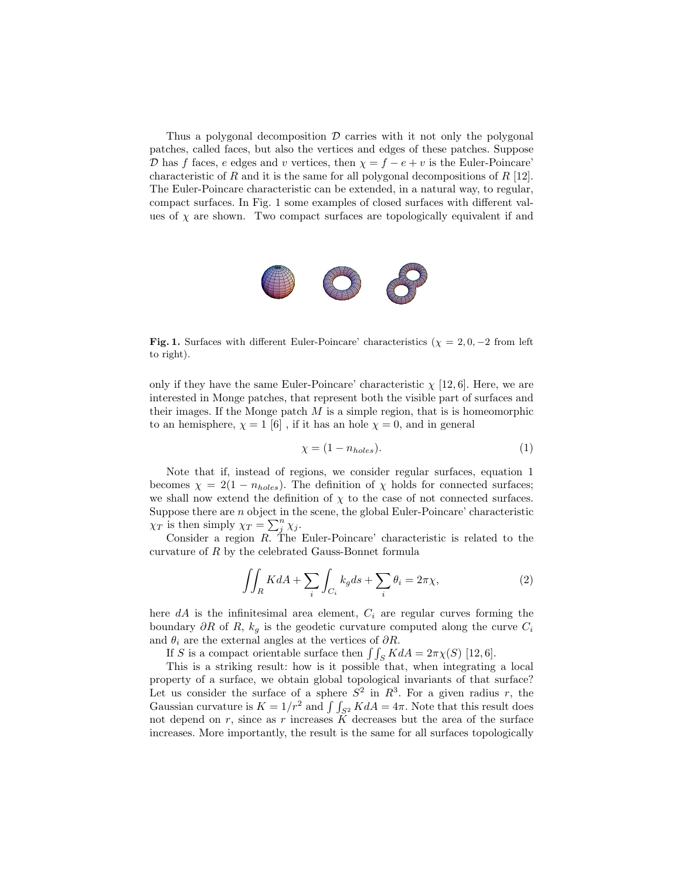Thus a polygonal decomposition  $\mathcal D$  carries with it not only the polygonal patches, called faces, but also the vertices and edges of these patches. Suppose D has f faces, e edges and v vertices, then  $\chi = f - e + v$  is the Euler-Poincare' characteristic of R and it is the same for all polygonal decompositions of  $R$  [12]. The Euler-Poincare characteristic can be extended, in a natural way, to regular, compact surfaces. In Fig. 1 some examples of closed surfaces with different values of  $\chi$  are shown. Two compact surfaces are topologically equivalent if and



Fig. 1. Surfaces with different Euler-Poincare' characteristics ( $\chi = 2, 0, -2$  from left to right).

only if they have the same Euler-Poincare' characteristic  $\chi$  [12, 6]. Here, we are interested in Monge patches, that represent both the visible part of surfaces and their images. If the Monge patch  $M$  is a simple region, that is is homeomorphic to an hemisphere,  $\chi = 1$  [6], if it has an hole  $\chi = 0$ , and in general

$$
\chi = (1 - n_{holes}). \tag{1}
$$

Note that if, instead of regions, we consider regular surfaces, equation 1 becomes  $\chi = 2(1 - n_{holes})$ . The definition of  $\chi$  holds for connected surfaces; we shall now extend the definition of  $\chi$  to the case of not connected surfaces. Suppose there are n object in the scene, the global Euler-Poincare' characteristic  $\chi_T$  is then simply  $\chi_T = \sum_j^n \chi_j$ .

Consider a region  $R$ . The Euler-Poincare' characteristic is related to the curvature of R by the celebrated Gauss-Bonnet formula

$$
\iint_{R} K dA + \sum_{i} \int_{C_{i}} k_{g} ds + \sum_{i} \theta_{i} = 2\pi \chi,
$$
\n(2)

here  $dA$  is the infinitesimal area element,  $C_i$  are regular curves forming the boundary ∂R of R,  $k_q$  is the geodetic curvature computed along the curve  $C_i$ and  $\theta_i$  are the external angles at the vertices of  $\partial R$ .

If S is a compact orientable surface then  $\iint_S K dA = 2\pi \chi(S)$  [12, 6].

This is a striking result: how is it possible that, when integrating a local property of a surface, we obtain global topological invariants of that surface? Let us consider the surface of a sphere  $S^2$  in  $R^3$ . For a given radius r, the Gaussian curvature is  $K = 1/r^2$  and  $\int \int_{S^2} K dA = 4\pi$ . Note that this result does not depend on  $r$ , since as  $r$  increases  $K$  decreases but the area of the surface increases. More importantly, the result is the same for all surfaces topologically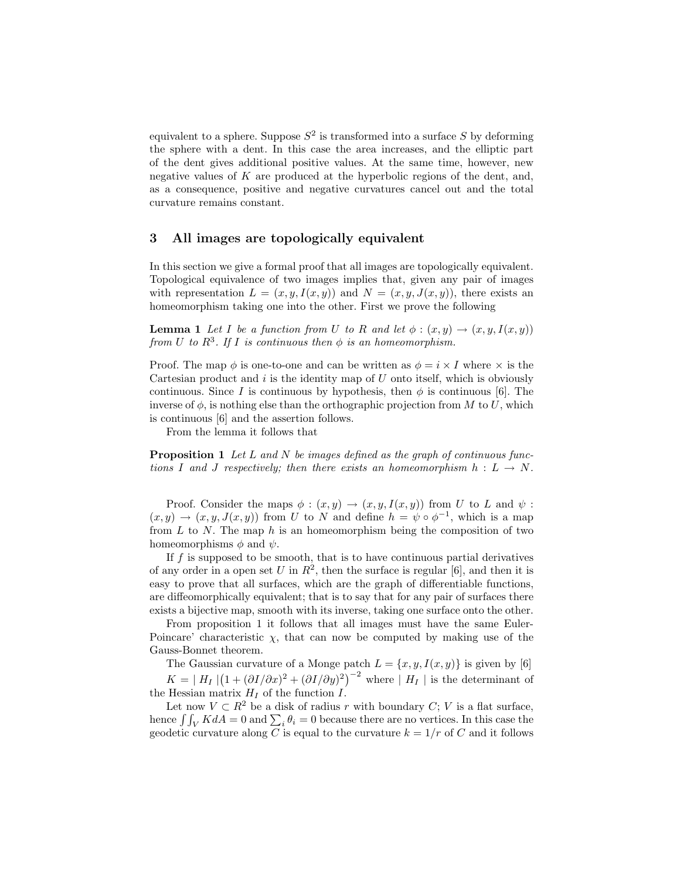equivalent to a sphere. Suppose  $S^2$  is transformed into a surface S by deforming the sphere with a dent. In this case the area increases, and the elliptic part of the dent gives additional positive values. At the same time, however, new negative values of  $K$  are produced at the hyperbolic regions of the dent, and, as a consequence, positive and negative curvatures cancel out and the total curvature remains constant.

## 3 All images are topologically equivalent

In this section we give a formal proof that all images are topologically equivalent. Topological equivalence of two images implies that, given any pair of images with representation  $L = (x, y, I(x, y))$  and  $N = (x, y, J(x, y))$ , there exists an homeomorphism taking one into the other. First we prove the following

**Lemma 1** Let I be a function from U to R and let  $\phi$  :  $(x, y) \rightarrow (x, y, I(x, y))$ from U to  $R^3$ . If I is continuous then  $\phi$  is an homeomorphism.

Proof. The map  $\phi$  is one-to-one and can be written as  $\phi = i \times I$  where  $\times$  is the Cartesian product and  $i$  is the identity map of  $U$  onto itself, which is obviously continuous. Since I is continuous by hypothesis, then  $\phi$  is continuous [6]. The inverse of  $\phi$ , is nothing else than the orthographic projection from M to U, which is continuous [6] and the assertion follows.

From the lemma it follows that

**Proposition 1** Let L and N be images defined as the graph of continuous functions I and J respectively; then there exists an homeomorphism  $h : L \to N$ .

Proof. Consider the maps  $\phi : (x, y) \to (x, y, I(x, y))$  from U to L and  $\psi$ :  $(x, y) \rightarrow (x, y, J(x, y))$  from U to N and define  $h = \psi \circ \phi^{-1}$ , which is a map from  $L$  to  $N$ . The map  $h$  is an homeomorphism being the composition of two homeomorphisms  $\phi$  and  $\psi$ .

If  $f$  is supposed to be smooth, that is to have continuous partial derivatives of any order in a open set U in  $R^2$ , then the surface is regular [6], and then it is easy to prove that all surfaces, which are the graph of differentiable functions, are diffeomorphically equivalent; that is to say that for any pair of surfaces there exists a bijective map, smooth with its inverse, taking one surface onto the other.

From proposition 1 it follows that all images must have the same Euler-Poincare' characteristic  $\chi$ , that can now be computed by making use of the Gauss-Bonnet theorem.

The Gaussian curvature of a Monge patch  $L = \{x, y, I(x, y)\}\$ is given by [6]

 $K = |H_I|(1 + (\partial I/\partial x)^2 + (\partial I/\partial y)^2)^{-2}$  where  $|H_I|$  is the determinant of the Hessian matrix  $H_I$  of the function  $I$ .

Let now  $V \subset R^2$  be a disk of radius r with boundary C; V is a flat surface, hence  $\int \int_V K dA = 0$  and  $\sum_i \theta_i = 0$  because there are no vertices. In this case the geodetic curvature along C is equal to the curvature  $k = 1/r$  of C and it follows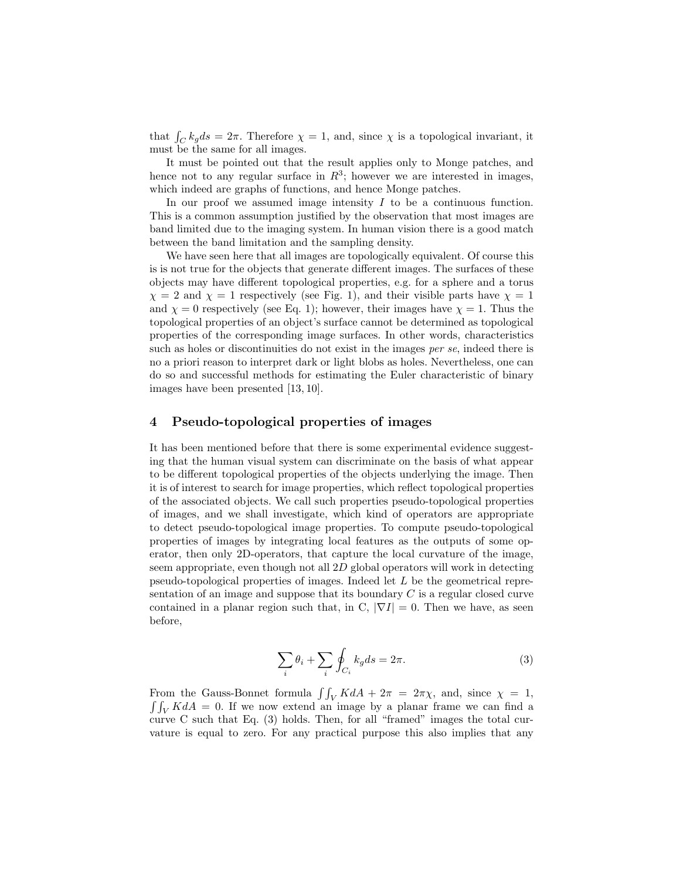that  $\int_C k_g ds = 2\pi$ . Therefore  $\chi = 1$ , and, since  $\chi$  is a topological invariant, it must be the same for all images.

It must be pointed out that the result applies only to Monge patches, and hence not to any regular surface in  $R^3$ ; however we are interested in images, which indeed are graphs of functions, and hence Monge patches.

In our proof we assumed image intensity  $I$  to be a continuous function. This is a common assumption justified by the observation that most images are band limited due to the imaging system. In human vision there is a good match between the band limitation and the sampling density.

We have seen here that all images are topologically equivalent. Of course this is is not true for the objects that generate different images. The surfaces of these objects may have different topological properties, e.g. for a sphere and a torus  $\chi = 2$  and  $\chi = 1$  respectively (see Fig. 1), and their visible parts have  $\chi = 1$ and  $\chi = 0$  respectively (see Eq. 1); however, their images have  $\chi = 1$ . Thus the topological properties of an object's surface cannot be determined as topological properties of the corresponding image surfaces. In other words, characteristics such as holes or discontinuities do not exist in the images per se, indeed there is no a priori reason to interpret dark or light blobs as holes. Nevertheless, one can do so and successful methods for estimating the Euler characteristic of binary images have been presented [13, 10].

#### 4 Pseudo-topological properties of images

It has been mentioned before that there is some experimental evidence suggesting that the human visual system can discriminate on the basis of what appear to be different topological properties of the objects underlying the image. Then it is of interest to search for image properties, which reflect topological properties of the associated objects. We call such properties pseudo-topological properties of images, and we shall investigate, which kind of operators are appropriate to detect pseudo-topological image properties. To compute pseudo-topological properties of images by integrating local features as the outputs of some operator, then only 2D-operators, that capture the local curvature of the image, seem appropriate, even though not all 2D global operators will work in detecting pseudo-topological properties of images. Indeed let L be the geometrical representation of an image and suppose that its boundary C is a regular closed curve contained in a planar region such that, in C,  $|\nabla I| = 0$ . Then we have, as seen before,

$$
\sum_{i} \theta_i + \sum_{i} \oint_{C_i} k_g ds = 2\pi.
$$
 (3)

From the Gauss-Bonnet formula  $\int \int_V K dA + 2\pi = 2\pi \chi$ , and, since  $\chi = 1$ ,  $\int\int_V K dA = 0$ . If we now extend an image by a planar frame we can find a curve C such that Eq. (3) holds. Then, for all "framed" images the total curvature is equal to zero. For any practical purpose this also implies that any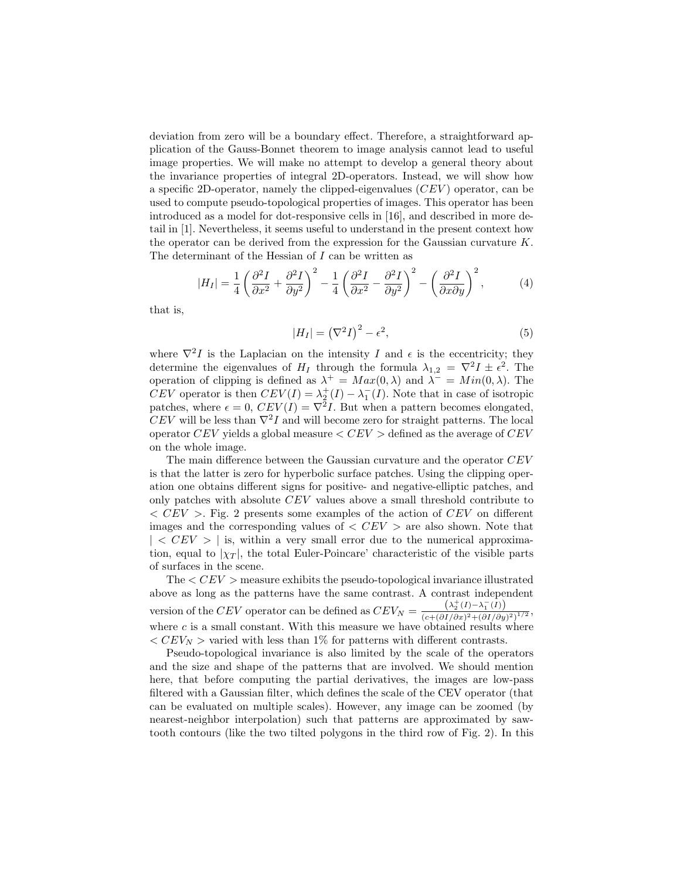deviation from zero will be a boundary effect. Therefore, a straightforward application of the Gauss-Bonnet theorem to image analysis cannot lead to useful image properties. We will make no attempt to develop a general theory about the invariance properties of integral 2D-operators. Instead, we will show how a specific 2D-operator, namely the clipped-eigenvalues (CEV ) operator, can be used to compute pseudo-topological properties of images. This operator has been introduced as a model for dot-responsive cells in [16], and described in more detail in [1]. Nevertheless, it seems useful to understand in the present context how the operator can be derived from the expression for the Gaussian curvature K. The determinant of the Hessian of I can be written as

$$
|H_I| = \frac{1}{4} \left( \frac{\partial^2 I}{\partial x^2} + \frac{\partial^2 I}{\partial y^2} \right)^2 - \frac{1}{4} \left( \frac{\partial^2 I}{\partial x^2} - \frac{\partial^2 I}{\partial y^2} \right)^2 - \left( \frac{\partial^2 I}{\partial x \partial y} \right)^2, \tag{4}
$$

that is,

$$
|H_I| = (\nabla^2 I)^2 - \epsilon^2,\tag{5}
$$

where  $\nabla^2 I$  is the Laplacian on the intensity I and  $\epsilon$  is the eccentricity; they determine the eigenvalues of  $H_I$  through the formula  $\lambda_{1,2} = \nabla^2 I \pm \epsilon^2$ . The operation of clipping is defined as  $\lambda^+ = Max(0, \lambda)$  and  $\lambda^- = Min(0, \lambda)$ . The CEV operator is then  $CEV(I) = \lambda_2^+(I) - \lambda_1^ _{1}^{-}(I)$ . Note that in case of isotropic patches, where  $\epsilon = 0$ ,  $CEV(I) = \nabla^2 I$ . But when a pattern becomes elongated,  $CEV$  will be less than  $\nabla^2 I$  and will become zero for straight patterns. The local operator CEV yields a global measure  $\langle$  CEV  $\rangle$  defined as the average of CEV on the whole image.

The main difference between the Gaussian curvature and the operator CEV is that the latter is zero for hyperbolic surface patches. Using the clipping operation one obtains different signs for positive- and negative-elliptic patches, and only patches with absolute CEV values above a small threshold contribute to  $\langle$  CEV  $\rangle$ . Fig. 2 presents some examples of the action of CEV on different images and the corresponding values of  $\langle$  CEV  $\rangle$  are also shown. Note that  $| < CEV > |$  is, within a very small error due to the numerical approximation, equal to  $|\chi_T|$ , the total Euler-Poincare' characteristic of the visible parts of surfaces in the scene.

 $The   $>$  measure exhibits the pseudo-topological invariance illustrated$ above as long as the patterns have the same contrast. A contrast independent version of the CEV operator can be defined as  $CEV_N = \frac{\left(\lambda_2^+(I) - \lambda_1^-(I)\right)}{\left(\lambda_2^+(I) - \lambda_1^-(I)\right)}$  $\frac{(\lambda_2(I) - \lambda_1(I))}{(c + (\partial I/\partial x)^2 + (\partial I/\partial y)^2)^{1/2}},$ where c is a small constant. With this measure we have obtained results where  $\langle CEV_N \rangle$  varied with less than 1% for patterns with different contrasts.

Pseudo-topological invariance is also limited by the scale of the operators and the size and shape of the patterns that are involved. We should mention here, that before computing the partial derivatives, the images are low-pass filtered with a Gaussian filter, which defines the scale of the CEV operator (that can be evaluated on multiple scales). However, any image can be zoomed (by nearest-neighbor interpolation) such that patterns are approximated by sawtooth contours (like the two tilted polygons in the third row of Fig. 2). In this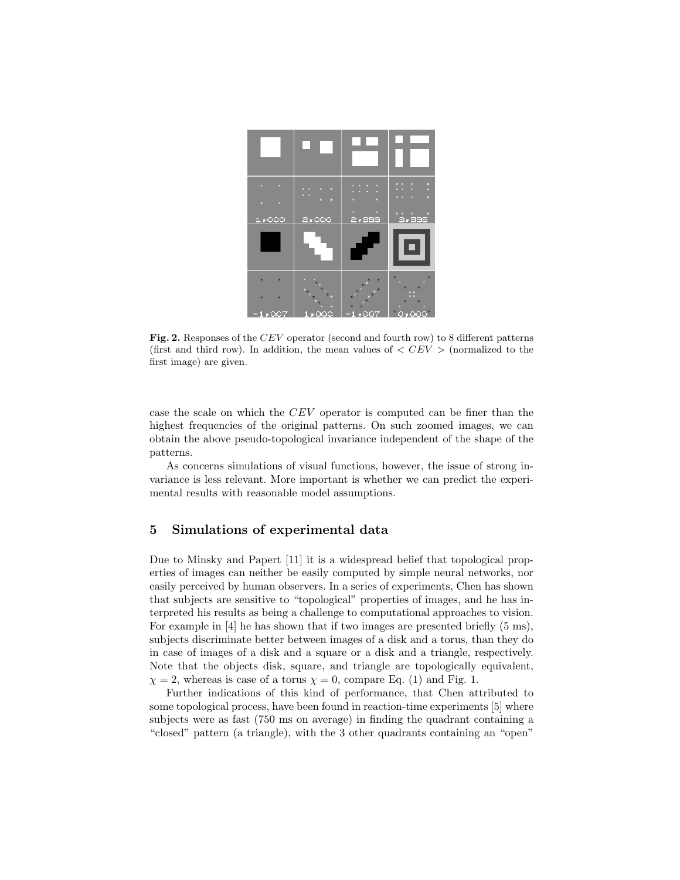

Fig. 2. Responses of the CEV operator (second and fourth row) to 8 different patterns (first and third row). In addition, the mean values of  $\langle CEV \rangle$  (normalized to the first image) are given.

case the scale on which the CEV operator is computed can be finer than the highest frequencies of the original patterns. On such zoomed images, we can obtain the above pseudo-topological invariance independent of the shape of the patterns.

As concerns simulations of visual functions, however, the issue of strong invariance is less relevant. More important is whether we can predict the experimental results with reasonable model assumptions.

## 5 Simulations of experimental data

Due to Minsky and Papert [11] it is a widespread belief that topological properties of images can neither be easily computed by simple neural networks, nor easily perceived by human observers. In a series of experiments, Chen has shown that subjects are sensitive to "topological" properties of images, and he has interpreted his results as being a challenge to computational approaches to vision. For example in [4] he has shown that if two images are presented briefly  $(5 \text{ ms})$ , subjects discriminate better between images of a disk and a torus, than they do in case of images of a disk and a square or a disk and a triangle, respectively. Note that the objects disk, square, and triangle are topologically equivalent,  $\chi = 2$ , whereas is case of a torus  $\chi = 0$ , compare Eq. (1) and Fig. 1.

Further indications of this kind of performance, that Chen attributed to some topological process, have been found in reaction-time experiments [5] where subjects were as fast (750 ms on average) in finding the quadrant containing a "closed" pattern (a triangle), with the 3 other quadrants containing an "open"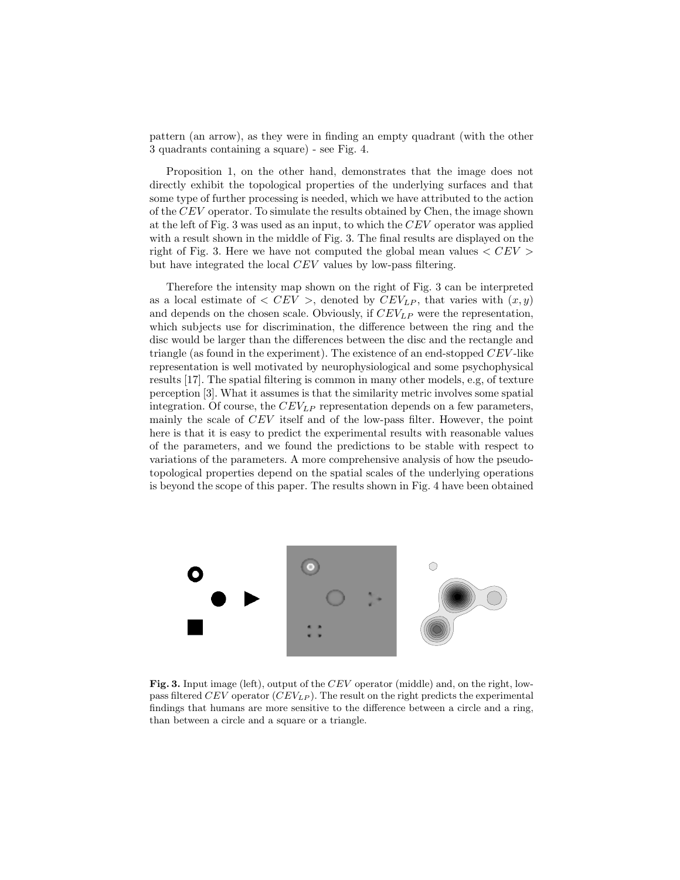pattern (an arrow), as they were in finding an empty quadrant (with the other 3 quadrants containing a square) - see Fig. 4.

Proposition 1, on the other hand, demonstrates that the image does not directly exhibit the topological properties of the underlying surfaces and that some type of further processing is needed, which we have attributed to the action of the CEV operator. To simulate the results obtained by Chen, the image shown at the left of Fig. 3 was used as an input, to which the CEV operator was applied with a result shown in the middle of Fig. 3. The final results are displayed on the right of Fig. 3. Here we have not computed the global mean values  $\langle CEV \rangle$ but have integrated the local CEV values by low-pass filtering.

Therefore the intensity map shown on the right of Fig. 3 can be interpreted as a local estimate of  $\langle$  CEV  $\rangle$ , denoted by CEV<sub>LP</sub>, that varies with  $(x, y)$ and depends on the chosen scale. Obviously, if  $CEV_{LP}$  were the representation, which subjects use for discrimination, the difference between the ring and the disc would be larger than the differences between the disc and the rectangle and triangle (as found in the experiment). The existence of an end-stopped CEV -like representation is well motivated by neurophysiological and some psychophysical results [17]. The spatial filtering is common in many other models, e.g, of texture perception [3]. What it assumes is that the similarity metric involves some spatial integration. Of course, the  $CEV_{LP}$  representation depends on a few parameters, mainly the scale of CEV itself and of the low-pass filter. However, the point here is that it is easy to predict the experimental results with reasonable values of the parameters, and we found the predictions to be stable with respect to variations of the parameters. A more comprehensive analysis of how the pseudotopological properties depend on the spatial scales of the underlying operations is beyond the scope of this paper. The results shown in Fig. 4 have been obtained



Fig. 3. Input image (left), output of the CEV operator (middle) and, on the right, lowpass filtered CEV operator  $(CEV_{LP})$ . The result on the right predicts the experimental findings that humans are more sensitive to the difference between a circle and a ring, than between a circle and a square or a triangle.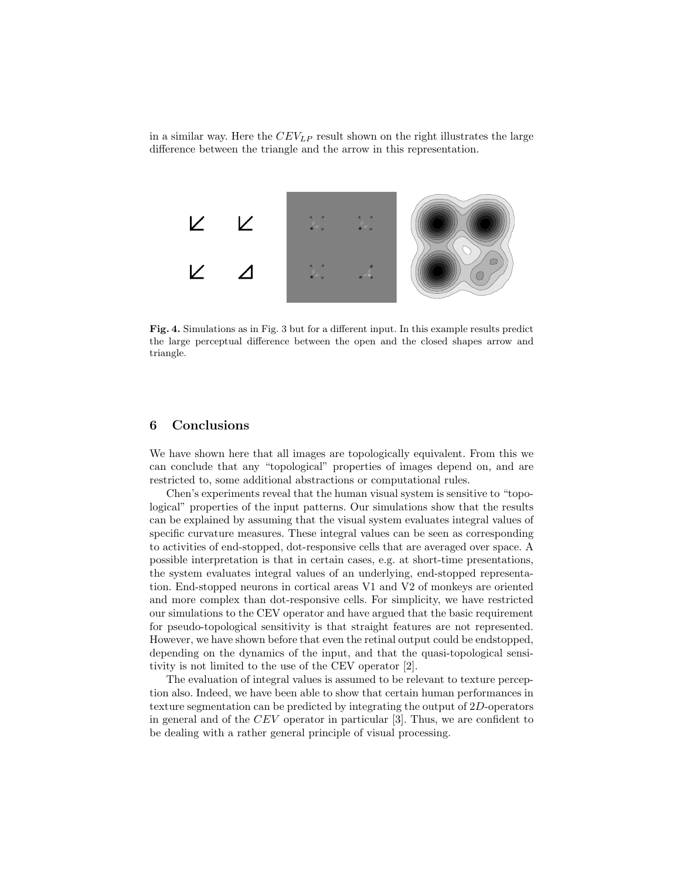in a similar way. Here the  $CEV_{LP}$  result shown on the right illustrates the large difference between the triangle and the arrow in this representation.



Fig. 4. Simulations as in Fig. 3 but for a different input. In this example results predict the large perceptual difference between the open and the closed shapes arrow and triangle.

#### 6 Conclusions

We have shown here that all images are topologically equivalent. From this we can conclude that any "topological" properties of images depend on, and are restricted to, some additional abstractions or computational rules.

Chen's experiments reveal that the human visual system is sensitive to "topological" properties of the input patterns. Our simulations show that the results can be explained by assuming that the visual system evaluates integral values of specific curvature measures. These integral values can be seen as corresponding to activities of end-stopped, dot-responsive cells that are averaged over space. A possible interpretation is that in certain cases, e.g. at short-time presentations, the system evaluates integral values of an underlying, end-stopped representation. End-stopped neurons in cortical areas V1 and V2 of monkeys are oriented and more complex than dot-responsive cells. For simplicity, we have restricted our simulations to the CEV operator and have argued that the basic requirement for pseudo-topological sensitivity is that straight features are not represented. However, we have shown before that even the retinal output could be endstopped, depending on the dynamics of the input, and that the quasi-topological sensitivity is not limited to the use of the CEV operator [2].

The evaluation of integral values is assumed to be relevant to texture perception also. Indeed, we have been able to show that certain human performances in texture segmentation can be predicted by integrating the output of 2D-operators in general and of the CEV operator in particular [3]. Thus, we are confident to be dealing with a rather general principle of visual processing.